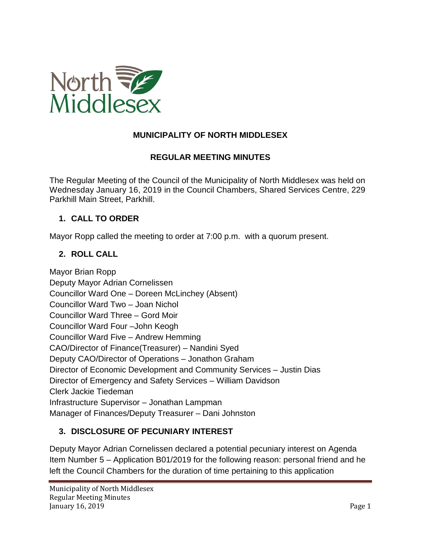

# **MUNICIPALITY OF NORTH MIDDLESEX**

## **REGULAR MEETING MINUTES**

The Regular Meeting of the Council of the Municipality of North Middlesex was held on Wednesday January 16, 2019 in the Council Chambers, Shared Services Centre, 229 Parkhill Main Street, Parkhill.

## **1. CALL TO ORDER**

Mayor Ropp called the meeting to order at 7:00 p.m. with a quorum present.

## **2. ROLL CALL**

Mayor Brian Ropp Deputy Mayor Adrian Cornelissen Councillor Ward One – Doreen McLinchey (Absent) Councillor Ward Two – Joan Nichol Councillor Ward Three – Gord Moir Councillor Ward Four –John Keogh Councillor Ward Five – Andrew Hemming CAO/Director of Finance(Treasurer) – Nandini Syed Deputy CAO/Director of Operations – Jonathon Graham Director of Economic Development and Community Services – Justin Dias Director of Emergency and Safety Services – William Davidson Clerk Jackie Tiedeman Infrastructure Supervisor – Jonathan Lampman Manager of Finances/Deputy Treasurer – Dani Johnston

# **3. DISCLOSURE OF PECUNIARY INTEREST**

Deputy Mayor Adrian Cornelissen declared a potential pecuniary interest on Agenda Item Number 5 – Application B01/2019 for the following reason: personal friend and he left the Council Chambers for the duration of time pertaining to this application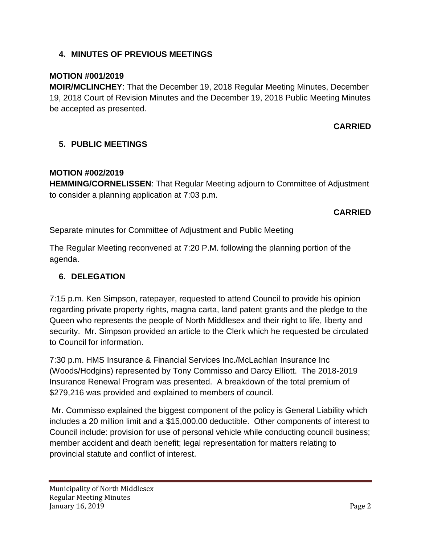# **4. MINUTES OF PREVIOUS MEETINGS**

## **MOTION #001/2019**

**MOIR/MCLINCHEY**: That the December 19, 2018 Regular Meeting Minutes, December 19, 2018 Court of Revision Minutes and the December 19, 2018 Public Meeting Minutes be accepted as presented.

## **CARRIED**

# **5. PUBLIC MEETINGS**

## **MOTION #002/2019**

**HEMMING/CORNELISSEN**: That Regular Meeting adjourn to Committee of Adjustment to consider a planning application at 7:03 p.m.

# **CARRIED**

Separate minutes for Committee of Adjustment and Public Meeting

The Regular Meeting reconvened at 7:20 P.M. following the planning portion of the agenda.

## **6. DELEGATION**

7:15 p.m. Ken Simpson, ratepayer, requested to attend Council to provide his opinion regarding private property rights, magna carta, land patent grants and the pledge to the Queen who represents the people of North Middlesex and their right to life, liberty and security. Mr. Simpson provided an article to the Clerk which he requested be circulated to Council for information.

7:30 p.m. HMS Insurance & Financial Services Inc./McLachlan Insurance Inc (Woods/Hodgins) represented by Tony Commisso and Darcy Elliott. The 2018-2019 Insurance Renewal Program was presented. A breakdown of the total premium of \$279,216 was provided and explained to members of council.

Mr. Commisso explained the biggest component of the policy is General Liability which includes a 20 million limit and a \$15,000.00 deductible. Other components of interest to Council include: provision for use of personal vehicle while conducting council business; member accident and death benefit; legal representation for matters relating to provincial statute and conflict of interest.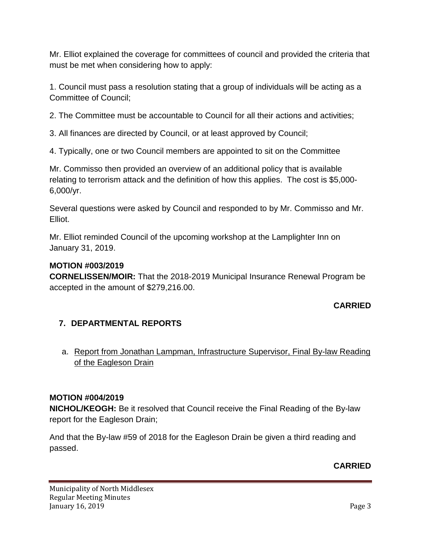Mr. Elliot explained the coverage for committees of council and provided the criteria that must be met when considering how to apply:

1. Council must pass a resolution stating that a group of individuals will be acting as a Committee of Council;

2. The Committee must be accountable to Council for all their actions and activities;

3. All finances are directed by Council, or at least approved by Council;

4. Typically, one or two Council members are appointed to sit on the Committee

Mr. Commisso then provided an overview of an additional policy that is available relating to terrorism attack and the definition of how this applies. The cost is \$5,000- 6,000/yr.

Several questions were asked by Council and responded to by Mr. Commisso and Mr. Elliot.

Mr. Elliot reminded Council of the upcoming workshop at the Lamplighter Inn on January 31, 2019.

# **MOTION #003/2019**

**CORNELISSEN/MOIR:** That the 2018-2019 Municipal Insurance Renewal Program be accepted in the amount of \$279,216.00.

# **CARRIED**

# **7. DEPARTMENTAL REPORTS**

a. Report from Jonathan Lampman, Infrastructure Supervisor, Final By-law Reading of the Eagleson Drain

# **MOTION #004/2019**

**NICHOL/KEOGH:** Be it resolved that Council receive the Final Reading of the By-law report for the Eagleson Drain;

And that the By-law #59 of 2018 for the Eagleson Drain be given a third reading and passed.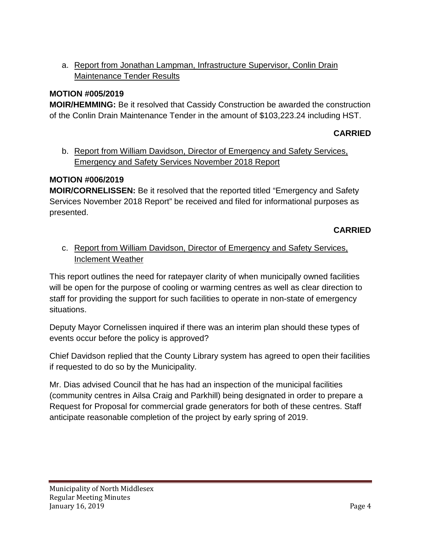a. Report from Jonathan Lampman, Infrastructure Supervisor, Conlin Drain Maintenance Tender Results

## **MOTION #005/2019**

**MOIR/HEMMING:** Be it resolved that Cassidy Construction be awarded the construction of the Conlin Drain Maintenance Tender in the amount of \$103,223.24 including HST.

# **CARRIED**

b. Report from William Davidson, Director of Emergency and Safety Services, Emergency and Safety Services November 2018 Report

## **MOTION #006/2019**

**MOIR/CORNELISSEN:** Be it resolved that the reported titled "Emergency and Safety Services November 2018 Report" be received and filed for informational purposes as presented.

## **CARRIED**

c. Report from William Davidson, Director of Emergency and Safety Services, Inclement Weather

This report outlines the need for ratepayer clarity of when municipally owned facilities will be open for the purpose of cooling or warming centres as well as clear direction to staff for providing the support for such facilities to operate in non-state of emergency situations.

Deputy Mayor Cornelissen inquired if there was an interim plan should these types of events occur before the policy is approved?

Chief Davidson replied that the County Library system has agreed to open their facilities if requested to do so by the Municipality.

Mr. Dias advised Council that he has had an inspection of the municipal facilities (community centres in Ailsa Craig and Parkhill) being designated in order to prepare a Request for Proposal for commercial grade generators for both of these centres. Staff anticipate reasonable completion of the project by early spring of 2019.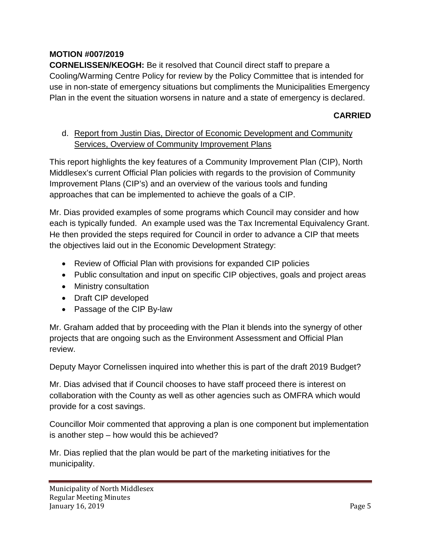# **MOTION #007/2019**

**CORNELISSEN/KEOGH:** Be it resolved that Council direct staff to prepare a Cooling/Warming Centre Policy for review by the Policy Committee that is intended for use in non-state of emergency situations but compliments the Municipalities Emergency Plan in the event the situation worsens in nature and a state of emergency is declared.

## **CARRIED**

# d. Report from Justin Dias, Director of Economic Development and Community Services, Overview of Community Improvement Plans

This report highlights the key features of a Community Improvement Plan (CIP), North Middlesex's current Official Plan policies with regards to the provision of Community Improvement Plans (CIP's) and an overview of the various tools and funding approaches that can be implemented to achieve the goals of a CIP.

Mr. Dias provided examples of some programs which Council may consider and how each is typically funded. An example used was the Tax Incremental Equivalency Grant. He then provided the steps required for Council in order to advance a CIP that meets the objectives laid out in the Economic Development Strategy:

- Review of Official Plan with provisions for expanded CIP policies
- Public consultation and input on specific CIP objectives, goals and project areas
- Ministry consultation
- Draft CIP developed
- Passage of the CIP By-law

Mr. Graham added that by proceeding with the Plan it blends into the synergy of other projects that are ongoing such as the Environment Assessment and Official Plan review.

Deputy Mayor Cornelissen inquired into whether this is part of the draft 2019 Budget?

Mr. Dias advised that if Council chooses to have staff proceed there is interest on collaboration with the County as well as other agencies such as OMFRA which would provide for a cost savings.

Councillor Moir commented that approving a plan is one component but implementation is another step – how would this be achieved?

Mr. Dias replied that the plan would be part of the marketing initiatives for the municipality.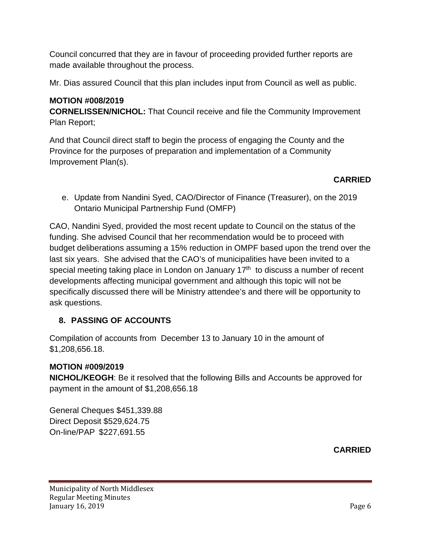Council concurred that they are in favour of proceeding provided further reports are made available throughout the process.

Mr. Dias assured Council that this plan includes input from Council as well as public.

# **MOTION #008/2019**

**CORNELISSEN/NICHOL:** That Council receive and file the Community Improvement Plan Report;

And that Council direct staff to begin the process of engaging the County and the Province for the purposes of preparation and implementation of a Community Improvement Plan(s).

## **CARRIED**

e. Update from Nandini Syed, CAO/Director of Finance (Treasurer), on the 2019 Ontario Municipal Partnership Fund (OMFP)

CAO, Nandini Syed, provided the most recent update to Council on the status of the funding. She advised Council that her recommendation would be to proceed with budget deliberations assuming a 15% reduction in OMPF based upon the trend over the last six years. She advised that the CAO's of municipalities have been invited to a special meeting taking place in London on January  $17<sup>th</sup>$  to discuss a number of recent developments affecting municipal government and although this topic will not be specifically discussed there will be Ministry attendee's and there will be opportunity to ask questions.

# **8. PASSING OF ACCOUNTS**

Compilation of accounts from December 13 to January 10 in the amount of \$1,208,656.18.

# **MOTION #009/2019**

**NICHOL/KEOGH**: Be it resolved that the following Bills and Accounts be approved for payment in the amount of \$1,208,656.18

General Cheques \$451,339.88 Direct Deposit \$529,624.75 On-line/PAP \$227,691.55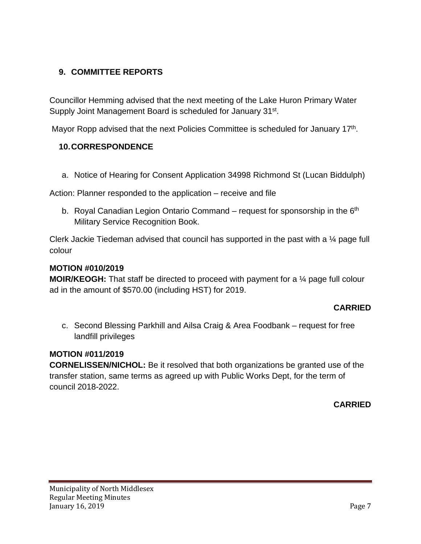# **9. COMMITTEE REPORTS**

Councillor Hemming advised that the next meeting of the Lake Huron Primary Water Supply Joint Management Board is scheduled for January 31<sup>st</sup>.

Mayor Ropp advised that the next Policies Committee is scheduled for January 17th.

## **10.CORRESPONDENCE**

a. Notice of Hearing for Consent Application 34998 Richmond St (Lucan Biddulph)

Action: Planner responded to the application – receive and file

b. Royal Canadian Legion Ontario Command – request for sponsorship in the  $6<sup>th</sup>$ Military Service Recognition Book.

Clerk Jackie Tiedeman advised that council has supported in the past with a ¼ page full colour

#### **MOTION #010/2019**

**MOIR/KEOGH:** That staff be directed to proceed with payment for a ¼ page full colour ad in the amount of \$570.00 (including HST) for 2019.

## **CARRIED**

c. Second Blessing Parkhill and Ailsa Craig & Area Foodbank – request for free landfill privileges

## **MOTION #011/2019**

**CORNELISSEN/NICHOL:** Be it resolved that both organizations be granted use of the transfer station, same terms as agreed up with Public Works Dept, for the term of council 2018-2022.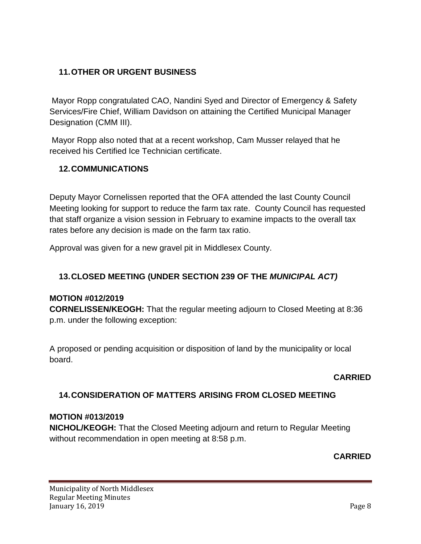# **11.OTHER OR URGENT BUSINESS**

Mayor Ropp congratulated CAO, Nandini Syed and Director of Emergency & Safety Services/Fire Chief, William Davidson on attaining the Certified Municipal Manager Designation (CMM III).

Mayor Ropp also noted that at a recent workshop, Cam Musser relayed that he received his Certified Ice Technician certificate.

# **12.COMMUNICATIONS**

Deputy Mayor Cornelissen reported that the OFA attended the last County Council Meeting looking for support to reduce the farm tax rate. County Council has requested that staff organize a vision session in February to examine impacts to the overall tax rates before any decision is made on the farm tax ratio.

Approval was given for a new gravel pit in Middlesex County.

# **13.CLOSED MEETING (UNDER SECTION 239 OF THE** *MUNICIPAL ACT)*

## **MOTION #012/2019**

**CORNELISSEN/KEOGH:** That the regular meeting adjourn to Closed Meeting at 8:36 p.m. under the following exception:

A proposed or pending acquisition or disposition of land by the municipality or local board.

## **CARRIED**

# **14.CONSIDERATION OF MATTERS ARISING FROM CLOSED MEETING**

## **MOTION #013/2019**

**NICHOL/KEOGH:** That the Closed Meeting adjourn and return to Regular Meeting without recommendation in open meeting at 8:58 p.m.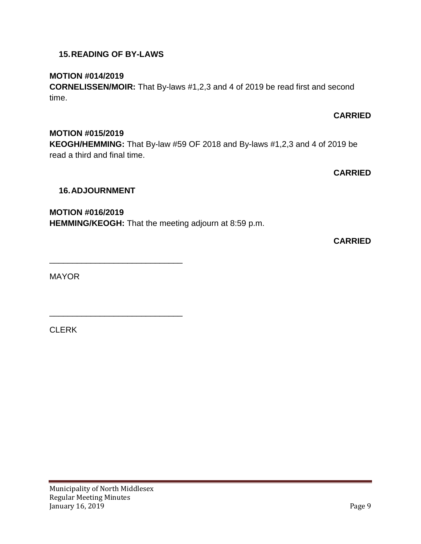#### Municipality of North Middlesex Regular Meeting Minutes January 16, 2019 Page 9

**MOTION #015/2019**

**KEOGH/HEMMING:** That By-law #59 OF 2018 and By-laws #1,2,3 and 4 of 2019 be read a third and final time.

**CARRIED**

**CARRIED**

## **16.ADJOURNMENT**

\_\_\_\_\_\_\_\_\_\_\_\_\_\_\_\_\_\_\_\_\_\_\_\_\_\_\_\_\_

\_\_\_\_\_\_\_\_\_\_\_\_\_\_\_\_\_\_\_\_\_\_\_\_\_\_\_\_\_

**MOTION #016/2019**

**HEMMING/KEOGH:** That the meeting adjourn at 8:59 p.m.

**CARRIED**

MAYOR

CLERK

## **15.READING OF BY-LAWS**

**MOTION #014/2019**

**CORNELISSEN/MOIR:** That By-laws #1,2,3 and 4 of 2019 be read first and second time.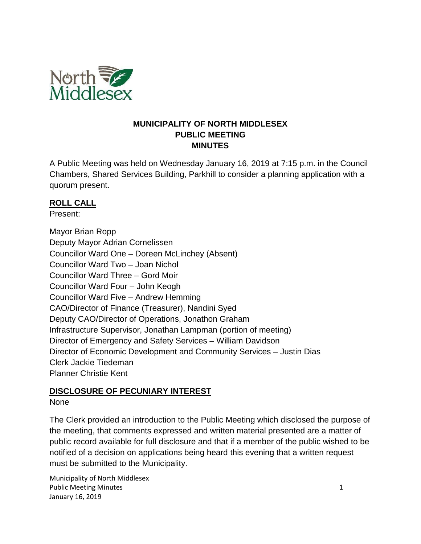

#### **MUNICIPALITY OF NORTH MIDDLESEX PUBLIC MEETING MINUTES**

A Public Meeting was held on Wednesday January 16, 2019 at 7:15 p.m. in the Council Chambers, Shared Services Building, Parkhill to consider a planning application with a quorum present.

## **ROLL CALL**

Present:

Mayor Brian Ropp Deputy Mayor Adrian Cornelissen Councillor Ward One – Doreen McLinchey (Absent) Councillor Ward Two – Joan Nichol Councillor Ward Three – Gord Moir Councillor Ward Four – John Keogh Councillor Ward Five – Andrew Hemming CAO/Director of Finance (Treasurer), Nandini Syed Deputy CAO/Director of Operations, Jonathon Graham Infrastructure Supervisor, Jonathan Lampman (portion of meeting) Director of Emergency and Safety Services – William Davidson Director of Economic Development and Community Services – Justin Dias Clerk Jackie Tiedeman Planner Christie Kent

# **DISCLOSURE OF PECUNIARY INTEREST**

## None

The Clerk provided an introduction to the Public Meeting which disclosed the purpose of the meeting, that comments expressed and written material presented are a matter of public record available for full disclosure and that if a member of the public wished to be notified of a decision on applications being heard this evening that a written request must be submitted to the Municipality.

Municipality of North Middlesex Public Meeting Minutes 1 and 1 and 1 and 1 and 1 and 1 and 1 and 1 and 1 and 1 and 1 and 1 and 1 and 1 and 1 and 1 and 1 and 1 and 1 and 1 and 1 and 1 and 1 and 1 and 1 and 1 and 1 and 1 and 1 and 1 and 1 and 1 and 1 and 1 January 16, 2019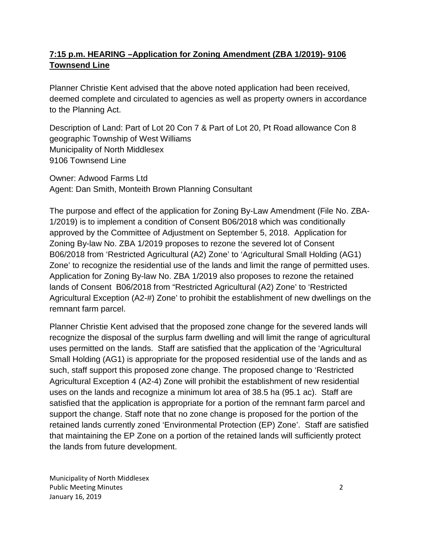# **7:15 p.m. HEARING –Application for Zoning Amendment (ZBA 1/2019)- 9106 Townsend Line**

Planner Christie Kent advised that the above noted application had been received, deemed complete and circulated to agencies as well as property owners in accordance to the Planning Act.

Description of Land: Part of Lot 20 Con 7 & Part of Lot 20, Pt Road allowance Con 8 geographic Township of West Williams Municipality of North Middlesex 9106 Townsend Line

Owner: Adwood Farms Ltd Agent: Dan Smith, Monteith Brown Planning Consultant

The purpose and effect of the application for Zoning By-Law Amendment (File No. ZBA-1/2019) is to implement a condition of Consent B06/2018 which was conditionally approved by the Committee of Adjustment on September 5, 2018. Application for Zoning By-law No. ZBA 1/2019 proposes to rezone the severed lot of Consent B06/2018 from 'Restricted Agricultural (A2) Zone' to 'Agricultural Small Holding (AG1) Zone' to recognize the residential use of the lands and limit the range of permitted uses. Application for Zoning By-law No. ZBA 1/2019 also proposes to rezone the retained lands of Consent B06/2018 from "Restricted Agricultural (A2) Zone' to 'Restricted Agricultural Exception (A2-#) Zone' to prohibit the establishment of new dwellings on the remnant farm parcel.

Planner Christie Kent advised that the proposed zone change for the severed lands will recognize the disposal of the surplus farm dwelling and will limit the range of agricultural uses permitted on the lands. Staff are satisfied that the application of the 'Agricultural Small Holding (AG1) is appropriate for the proposed residential use of the lands and as such, staff support this proposed zone change. The proposed change to 'Restricted Agricultural Exception 4 (A2-4) Zone will prohibit the establishment of new residential uses on the lands and recognize a minimum lot area of 38.5 ha (95.1 ac). Staff are satisfied that the application is appropriate for a portion of the remnant farm parcel and support the change. Staff note that no zone change is proposed for the portion of the retained lands currently zoned 'Environmental Protection (EP) Zone'. Staff are satisfied that maintaining the EP Zone on a portion of the retained lands will sufficiently protect the lands from future development.

Municipality of North Middlesex Public Meeting Minutes 2 January 16, 2019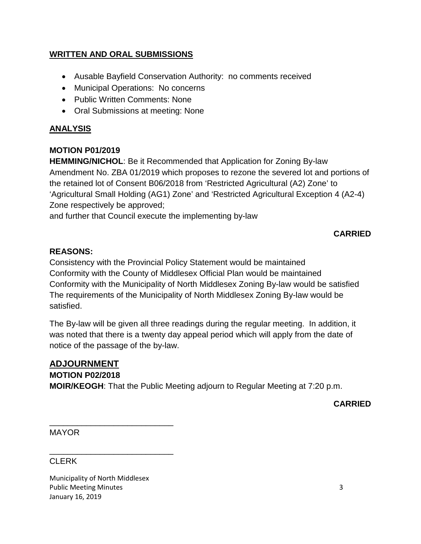## **WRITTEN AND ORAL SUBMISSIONS**

- Ausable Bayfield Conservation Authority: no comments received
- Municipal Operations: No concerns
- Public Written Comments: None
- Oral Submissions at meeting: None

## **ANALYSIS**

## **MOTION P01/2019**

**HEMMING/NICHOL**: Be it Recommended that Application for Zoning By-law Amendment No. ZBA 01/2019 which proposes to rezone the severed lot and portions of the retained lot of Consent B06/2018 from 'Restricted Agricultural (A2) Zone' to 'Agricultural Small Holding (AG1) Zone' and 'Restricted Agricultural Exception 4 (A2-4) Zone respectively be approved;

and further that Council execute the implementing by-law

# **CARRIED**

#### **REASONS:**

Consistency with the Provincial Policy Statement would be maintained Conformity with the County of Middlesex Official Plan would be maintained Conformity with the Municipality of North Middlesex Zoning By-law would be satisfied The requirements of the Municipality of North Middlesex Zoning By-law would be satisfied.

The By-law will be given all three readings during the regular meeting. In addition, it was noted that there is a twenty day appeal period which will apply from the date of notice of the passage of the by-law.

#### **ADJOURNMENT MOTION P02/2018**

**MOIR/KEOGH**: That the Public Meeting adjourn to Regular Meeting at 7:20 p.m.

**CARRIED**

MAYOR

## **CLERK**

Municipality of North Middlesex Public Meeting Minutes 3 January 16, 2019

\_\_\_\_\_\_\_\_\_\_\_\_\_\_\_\_\_\_\_\_\_\_\_\_\_\_\_

\_\_\_\_\_\_\_\_\_\_\_\_\_\_\_\_\_\_\_\_\_\_\_\_\_\_\_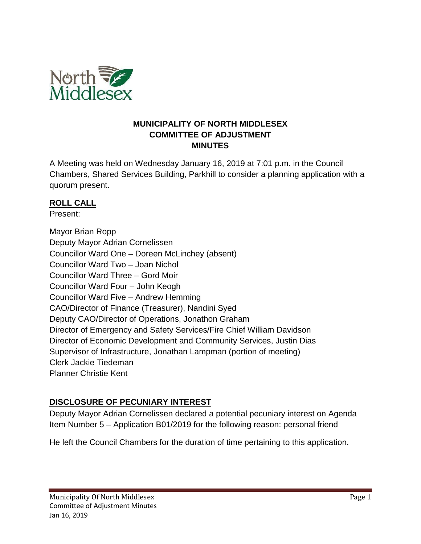

#### **MUNICIPALITY OF NORTH MIDDLESEX COMMITTEE OF ADJUSTMENT MINUTES**

A Meeting was held on Wednesday January 16, 2019 at 7:01 p.m. in the Council Chambers, Shared Services Building, Parkhill to consider a planning application with a quorum present.

## **ROLL CALL**

Present:

Mayor Brian Ropp Deputy Mayor Adrian Cornelissen Councillor Ward One – Doreen McLinchey (absent) Councillor Ward Two – Joan Nichol Councillor Ward Three – Gord Moir Councillor Ward Four – John Keogh Councillor Ward Five – Andrew Hemming CAO/Director of Finance (Treasurer), Nandini Syed Deputy CAO/Director of Operations, Jonathon Graham Director of Emergency and Safety Services/Fire Chief William Davidson Director of Economic Development and Community Services, Justin Dias Supervisor of Infrastructure, Jonathan Lampman (portion of meeting) Clerk Jackie Tiedeman Planner Christie Kent

# **DISCLOSURE OF PECUNIARY INTEREST**

Deputy Mayor Adrian Cornelissen declared a potential pecuniary interest on Agenda Item Number 5 – Application B01/2019 for the following reason: personal friend

He left the Council Chambers for the duration of time pertaining to this application.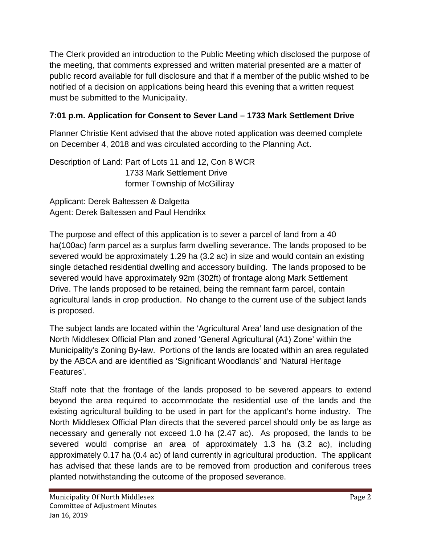The Clerk provided an introduction to the Public Meeting which disclosed the purpose of the meeting, that comments expressed and written material presented are a matter of public record available for full disclosure and that if a member of the public wished to be notified of a decision on applications being heard this evening that a written request must be submitted to the Municipality.

# **7:01 p.m. Application for Consent to Sever Land – 1733 Mark Settlement Drive**

Planner Christie Kent advised that the above noted application was deemed complete on December 4, 2018 and was circulated according to the Planning Act.

Description of Land: Part of Lots 11 and 12, Con 8 WCR 1733 Mark Settlement Drive former Township of McGilliray

Applicant: Derek Baltessen & Dalgetta Agent: Derek Baltessen and Paul Hendrikx

The purpose and effect of this application is to sever a parcel of land from a 40 ha(100ac) farm parcel as a surplus farm dwelling severance. The lands proposed to be severed would be approximately 1.29 ha (3.2 ac) in size and would contain an existing single detached residential dwelling and accessory building. The lands proposed to be severed would have approximately 92m (302ft) of frontage along Mark Settlement Drive. The lands proposed to be retained, being the remnant farm parcel, contain agricultural lands in crop production. No change to the current use of the subject lands is proposed.

The subject lands are located within the 'Agricultural Area' land use designation of the North Middlesex Official Plan and zoned 'General Agricultural (A1) Zone' within the Municipality's Zoning By-law. Portions of the lands are located within an area regulated by the ABCA and are identified as 'Significant Woodlands' and 'Natural Heritage Features'.

Staff note that the frontage of the lands proposed to be severed appears to extend beyond the area required to accommodate the residential use of the lands and the existing agricultural building to be used in part for the applicant's home industry. The North Middlesex Official Plan directs that the severed parcel should only be as large as necessary and generally not exceed 1.0 ha (2.47 ac). As proposed, the lands to be severed would comprise an area of approximately 1.3 ha (3.2 ac), including approximately 0.17 ha (0.4 ac) of land currently in agricultural production. The applicant has advised that these lands are to be removed from production and coniferous trees planted notwithstanding the outcome of the proposed severance.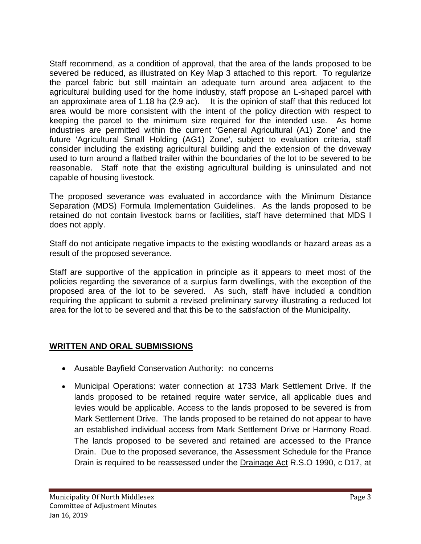Staff recommend, as a condition of approval, that the area of the lands proposed to be severed be reduced, as illustrated on Key Map 3 attached to this report. To regularize the parcel fabric but still maintain an adequate turn around area adjacent to the agricultural building used for the home industry, staff propose an L-shaped parcel with an approximate area of 1.18 ha (2.9 ac). It is the opinion of staff that this reduced lot area would be more consistent with the intent of the policy direction with respect to keeping the parcel to the minimum size required for the intended use. As home industries are permitted within the current 'General Agricultural (A1) Zone' and the future 'Agricultural Small Holding (AG1) Zone', subject to evaluation criteria, staff consider including the existing agricultural building and the extension of the driveway used to turn around a flatbed trailer within the boundaries of the lot to be severed to be reasonable. Staff note that the existing agricultural building is uninsulated and not capable of housing livestock.

The proposed severance was evaluated in accordance with the Minimum Distance Separation (MDS) Formula Implementation Guidelines. As the lands proposed to be retained do not contain livestock barns or facilities, staff have determined that MDS I does not apply.

Staff do not anticipate negative impacts to the existing woodlands or hazard areas as a result of the proposed severance.

Staff are supportive of the application in principle as it appears to meet most of the policies regarding the severance of a surplus farm dwellings, with the exception of the proposed area of the lot to be severed. As such, staff have included a condition requiring the applicant to submit a revised preliminary survey illustrating a reduced lot area for the lot to be severed and that this be to the satisfaction of the Municipality.

# **WRITTEN AND ORAL SUBMISSIONS**

- Ausable Bayfield Conservation Authority: no concerns
- Municipal Operations: water connection at 1733 Mark Settlement Drive. If the lands proposed to be retained require water service, all applicable dues and levies would be applicable. Access to the lands proposed to be severed is from Mark Settlement Drive. The lands proposed to be retained do not appear to have an established individual access from Mark Settlement Drive or Harmony Road. The lands proposed to be severed and retained are accessed to the Prance Drain. Due to the proposed severance, the Assessment Schedule for the Prance Drain is required to be reassessed under the Drainage Act R.S.O 1990, c D17, at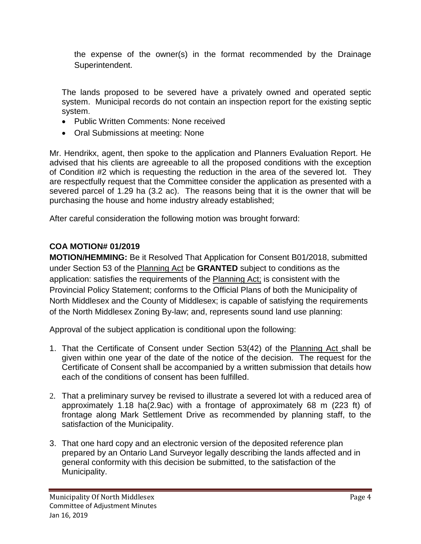the expense of the owner(s) in the format recommended by the Drainage Superintendent.

The lands proposed to be severed have a privately owned and operated septic system. Municipal records do not contain an inspection report for the existing septic system.

- Public Written Comments: None received
- Oral Submissions at meeting: None

Mr. Hendrikx, agent, then spoke to the application and Planners Evaluation Report. He advised that his clients are agreeable to all the proposed conditions with the exception of Condition #2 which is requesting the reduction in the area of the severed lot. They are respectfully request that the Committee consider the application as presented with a severed parcel of 1.29 ha (3.2 ac). The reasons being that it is the owner that will be purchasing the house and home industry already established;

After careful consideration the following motion was brought forward:

# **COA MOTION# 01/2019**

**MOTION/HEMMING:** Be it Resolved That Application for Consent B01/2018, submitted under Section 53 of the Planning Act be **GRANTED** subject to conditions as the application: satisfies the requirements of the Planning Act; is consistent with the Provincial Policy Statement; conforms to the Official Plans of both the Municipality of North Middlesex and the County of Middlesex; is capable of satisfying the requirements of the North Middlesex Zoning By-law; and, represents sound land use planning:

Approval of the subject application is conditional upon the following:

- 1. That the Certificate of Consent under Section 53(42) of the Planning Act shall be given within one year of the date of the notice of the decision. The request for the Certificate of Consent shall be accompanied by a written submission that details how each of the conditions of consent has been fulfilled.
- 2. That a preliminary survey be revised to illustrate a severed lot with a reduced area of approximately 1.18 ha(2.9ac) with a frontage of approximately 68 m (223 ft) of frontage along Mark Settlement Drive as recommended by planning staff, to the satisfaction of the Municipality.
- 3. That one hard copy and an electronic version of the deposited reference plan prepared by an Ontario Land Surveyor legally describing the lands affected and in general conformity with this decision be submitted, to the satisfaction of the Municipality.